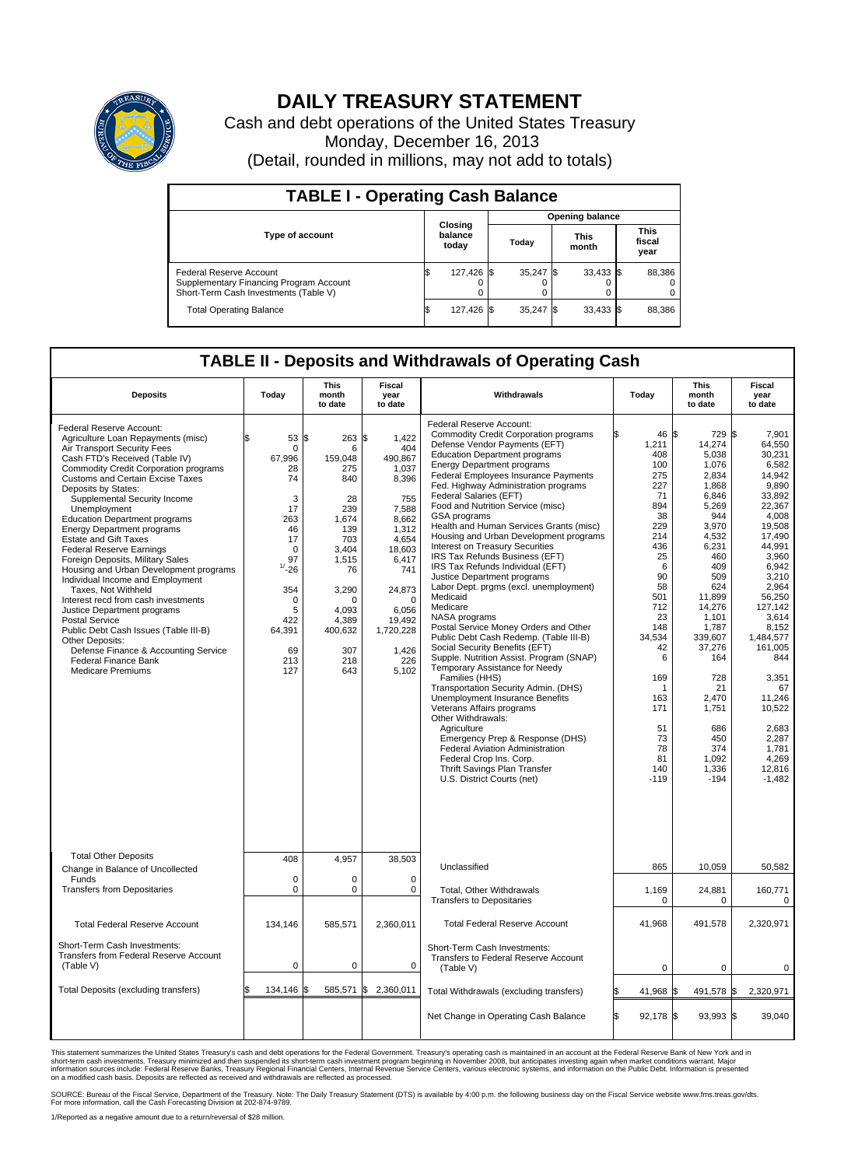

## **DAILY TREASURY STATEMENT**

Cash and debt operations of the United States Treasury Monday, December 16, 2013 (Detail, rounded in millions, may not add to totals)

| <b>TABLE I - Operating Cash Balance</b>                                                                     |                             |            |                        |             |  |                      |  |                               |  |
|-------------------------------------------------------------------------------------------------------------|-----------------------------|------------|------------------------|-------------|--|----------------------|--|-------------------------------|--|
|                                                                                                             |                             |            | <b>Opening balance</b> |             |  |                      |  |                               |  |
| <b>Type of account</b>                                                                                      | Closing<br>balance<br>today |            |                        | Today       |  | <b>This</b><br>month |  | <b>This</b><br>fiscal<br>year |  |
| Federal Reserve Account<br>Supplementary Financing Program Account<br>Short-Term Cash Investments (Table V) |                             | 127,426 \$ |                        | $35,247$ \$ |  | $33,433$ \$          |  | 88,386                        |  |
| <b>Total Operating Balance</b>                                                                              | IЭ                          | 127,426 \$ |                        | $35,247$ \$ |  | $33,433$ \$          |  | 88,386                        |  |

## **TABLE II - Deposits and Withdrawals of Operating Cash**

| <b>Deposits</b>                                                                                                                                                                                                                                                                                                                                                                                                                                                                                                                                                                                                                                                                                                                                                                                                                                   | Today                                                                                                                                                                         | This<br>month<br>to date                                                                                                                                                   | Fiscal<br>year<br>to date                                                                                                                                                                           | Withdrawals                                                                                                                                                                                                                                                                                                                                                                                                                                                                                                                                                                                                                                                                                                                                                                                                                                                                                                                                                                                                                                                                                                                                                                                                   | Today                                                                                                                                                                                                                         | <b>This</b><br>month<br>to date                                                                                                                                                                                                                                                        | Fiscal<br>year<br>to date                                                                                                                                                                                                                                                                                               |
|---------------------------------------------------------------------------------------------------------------------------------------------------------------------------------------------------------------------------------------------------------------------------------------------------------------------------------------------------------------------------------------------------------------------------------------------------------------------------------------------------------------------------------------------------------------------------------------------------------------------------------------------------------------------------------------------------------------------------------------------------------------------------------------------------------------------------------------------------|-------------------------------------------------------------------------------------------------------------------------------------------------------------------------------|----------------------------------------------------------------------------------------------------------------------------------------------------------------------------|-----------------------------------------------------------------------------------------------------------------------------------------------------------------------------------------------------|---------------------------------------------------------------------------------------------------------------------------------------------------------------------------------------------------------------------------------------------------------------------------------------------------------------------------------------------------------------------------------------------------------------------------------------------------------------------------------------------------------------------------------------------------------------------------------------------------------------------------------------------------------------------------------------------------------------------------------------------------------------------------------------------------------------------------------------------------------------------------------------------------------------------------------------------------------------------------------------------------------------------------------------------------------------------------------------------------------------------------------------------------------------------------------------------------------------|-------------------------------------------------------------------------------------------------------------------------------------------------------------------------------------------------------------------------------|----------------------------------------------------------------------------------------------------------------------------------------------------------------------------------------------------------------------------------------------------------------------------------------|-------------------------------------------------------------------------------------------------------------------------------------------------------------------------------------------------------------------------------------------------------------------------------------------------------------------------|
| Federal Reserve Account:<br>Agriculture Loan Repayments (misc)<br>Air Transport Security Fees<br>Cash FTD's Received (Table IV)<br><b>Commodity Credit Corporation programs</b><br>Customs and Certain Excise Taxes<br>Deposits by States:<br>Supplemental Security Income<br>Unemployment<br><b>Education Department programs</b><br><b>Energy Department programs</b><br><b>Estate and Gift Taxes</b><br><b>Federal Reserve Earnings</b><br>Foreign Deposits, Military Sales<br>Housing and Urban Development programs<br>Individual Income and Employment<br>Taxes, Not Withheld<br>Interest recd from cash investments<br>Justice Department programs<br><b>Postal Service</b><br>Public Debt Cash Issues (Table III-B)<br>Other Deposits:<br>Defense Finance & Accounting Service<br><b>Federal Finance Bank</b><br><b>Medicare Premiums</b> | 53<br>\$<br>$\mathbf 0$<br>67,996<br>28<br>74<br>3<br>17<br>263<br>46<br>17<br>$\mathbf 0$<br>97<br>$1/ - 26$<br>354<br>$\mathbf 0$<br>5<br>422<br>64,391<br>69<br>213<br>127 | \$<br>263<br>6<br>159,048<br>275<br>840<br>28<br>239<br>1,674<br>139<br>703<br>3,404<br>1,515<br>76<br>3,290<br>$\Omega$<br>4,093<br>4,389<br>400,632<br>307<br>218<br>643 | \$<br>1,422<br>404<br>490,867<br>1.037<br>8,396<br>755<br>7,588<br>8,662<br>1,312<br>4.654<br>18,603<br>6,417<br>741<br>24,873<br>$\Omega$<br>6,056<br>19,492<br>1,720,228<br>1,426<br>226<br>5,102 | Federal Reserve Account:<br><b>Commodity Credit Corporation programs</b><br>Defense Vendor Payments (EFT)<br><b>Education Department programs</b><br><b>Energy Department programs</b><br><b>Federal Employees Insurance Payments</b><br>Fed. Highway Administration programs<br>Federal Salaries (EFT)<br>Food and Nutrition Service (misc)<br>GSA programs<br>Health and Human Services Grants (misc)<br>Housing and Urban Development programs<br>Interest on Treasury Securities<br>IRS Tax Refunds Business (EFT)<br>IRS Tax Refunds Individual (EFT)<br>Justice Department programs<br>Labor Dept. prgms (excl. unemployment)<br>Medicaid<br>Medicare<br>NASA programs<br>Postal Service Money Orders and Other<br>Public Debt Cash Redemp. (Table III-B)<br>Social Security Benefits (EFT)<br>Supple. Nutrition Assist. Program (SNAP)<br>Temporary Assistance for Needy<br>Families (HHS)<br>Transportation Security Admin. (DHS)<br>Unemployment Insurance Benefits<br>Veterans Affairs programs<br>Other Withdrawals:<br>Agriculture<br>Emergency Prep & Response (DHS)<br>Federal Aviation Administration<br>Federal Crop Ins. Corp.<br>Thrift Savings Plan Transfer<br>U.S. District Courts (net) | 46 \$<br>1,211<br>408<br>100<br>275<br>227<br>71<br>894<br>38<br>229<br>214<br>436<br>25<br>6<br>90<br>58<br>501<br>712<br>23<br>148<br>34.534<br>42<br>6<br>169<br>-1<br>163<br>171<br>51<br>73<br>78<br>81<br>140<br>$-119$ | 729 \$<br>14,274<br>5,038<br>1,076<br>2.834<br>1,868<br>6,846<br>5,269<br>944<br>3,970<br>4,532<br>6,231<br>460<br>409<br>509<br>624<br>11,899<br>14,276<br>1.101<br>1,787<br>339,607<br>37,276<br>164<br>728<br>21<br>2,470<br>1,751<br>686<br>450<br>374<br>1,092<br>1,336<br>$-194$ | 7.901<br>64,550<br>30,231<br>6,582<br>14.942<br>9,890<br>33,892<br>22,367<br>4.008<br>19,508<br>17,490<br>44,991<br>3,960<br>6.942<br>3,210<br>2,964<br>56,250<br>127,142<br>3.614<br>8,152<br>1.484.577<br>161,005<br>844<br>3,351<br>67<br>11,246<br>10,522<br>2,683<br>2,287<br>1.781<br>4.269<br>12,816<br>$-1,482$ |
| <b>Total Other Deposits</b><br>Change in Balance of Uncollected                                                                                                                                                                                                                                                                                                                                                                                                                                                                                                                                                                                                                                                                                                                                                                                   | 408                                                                                                                                                                           | 4,957                                                                                                                                                                      | 38,503                                                                                                                                                                                              | Unclassified                                                                                                                                                                                                                                                                                                                                                                                                                                                                                                                                                                                                                                                                                                                                                                                                                                                                                                                                                                                                                                                                                                                                                                                                  | 865                                                                                                                                                                                                                           | 10,059                                                                                                                                                                                                                                                                                 | 50,582                                                                                                                                                                                                                                                                                                                  |
| Funds<br><b>Transfers from Depositaries</b>                                                                                                                                                                                                                                                                                                                                                                                                                                                                                                                                                                                                                                                                                                                                                                                                       | $\mathbf 0$<br>$\mathbf 0$                                                                                                                                                    | 0<br>0                                                                                                                                                                     | 0<br>$\mathbf 0$                                                                                                                                                                                    | <b>Total, Other Withdrawals</b><br><b>Transfers to Depositaries</b>                                                                                                                                                                                                                                                                                                                                                                                                                                                                                                                                                                                                                                                                                                                                                                                                                                                                                                                                                                                                                                                                                                                                           | 1,169<br>0                                                                                                                                                                                                                    | 24,881<br>$\Omega$                                                                                                                                                                                                                                                                     | 160,771<br>0                                                                                                                                                                                                                                                                                                            |
| <b>Total Federal Reserve Account</b>                                                                                                                                                                                                                                                                                                                                                                                                                                                                                                                                                                                                                                                                                                                                                                                                              | 134,146                                                                                                                                                                       | 585,571                                                                                                                                                                    | 2,360,011                                                                                                                                                                                           | <b>Total Federal Reserve Account</b>                                                                                                                                                                                                                                                                                                                                                                                                                                                                                                                                                                                                                                                                                                                                                                                                                                                                                                                                                                                                                                                                                                                                                                          | 41.968                                                                                                                                                                                                                        | 491,578                                                                                                                                                                                                                                                                                | 2,320,971                                                                                                                                                                                                                                                                                                               |
| Short-Term Cash Investments:<br><b>Transfers from Federal Reserve Account</b><br>(Table V)                                                                                                                                                                                                                                                                                                                                                                                                                                                                                                                                                                                                                                                                                                                                                        | $\pmb{0}$                                                                                                                                                                     | 0                                                                                                                                                                          | 0                                                                                                                                                                                                   | Short-Term Cash Investments:<br>Transfers to Federal Reserve Account<br>(Table V)                                                                                                                                                                                                                                                                                                                                                                                                                                                                                                                                                                                                                                                                                                                                                                                                                                                                                                                                                                                                                                                                                                                             | 0                                                                                                                                                                                                                             | 0                                                                                                                                                                                                                                                                                      | 0                                                                                                                                                                                                                                                                                                                       |
| Total Deposits (excluding transfers)                                                                                                                                                                                                                                                                                                                                                                                                                                                                                                                                                                                                                                                                                                                                                                                                              | 134,146<br>\$                                                                                                                                                                 | ß.                                                                                                                                                                         | 585,571 \$ 2,360,011                                                                                                                                                                                | Total Withdrawals (excluding transfers)                                                                                                                                                                                                                                                                                                                                                                                                                                                                                                                                                                                                                                                                                                                                                                                                                                                                                                                                                                                                                                                                                                                                                                       | 41,968 \$                                                                                                                                                                                                                     | 491,578 \$                                                                                                                                                                                                                                                                             | 2,320,971                                                                                                                                                                                                                                                                                                               |
|                                                                                                                                                                                                                                                                                                                                                                                                                                                                                                                                                                                                                                                                                                                                                                                                                                                   |                                                                                                                                                                               |                                                                                                                                                                            |                                                                                                                                                                                                     | Net Change in Operating Cash Balance                                                                                                                                                                                                                                                                                                                                                                                                                                                                                                                                                                                                                                                                                                                                                                                                                                                                                                                                                                                                                                                                                                                                                                          | 92,178 \$                                                                                                                                                                                                                     | 93,993 \$                                                                                                                                                                                                                                                                              | 39,040                                                                                                                                                                                                                                                                                                                  |

This statement summarizes the United States Treasury's cash and debt operations for the Federal Government. Treasury's operating cash is maintained in an account at the Federal Reserve Bank of New York and in<br>informetion c

SOURCE: Bureau of the Fiscal Service, Department of the Treasury. Note: The Daily Treasury Statement (DTS) is available by 4:00 p.m. the following business day on the Fiscal Service website www.fms.treas.gov/dts.<br>For more

1/Reported as a negative amount due to a return/reversal of \$28 million.